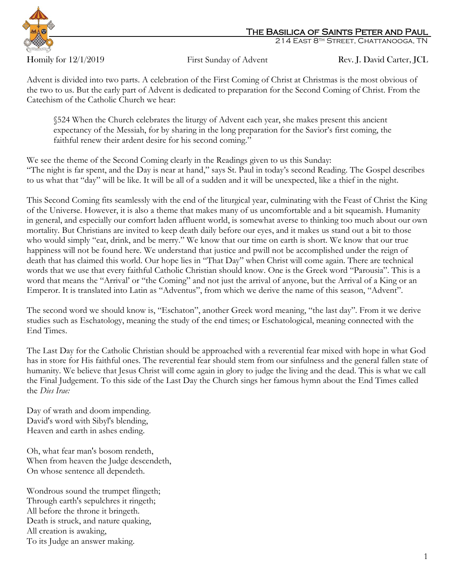

## The Basilica of Saints Peter and Paul

214 East 8th Street, Chattanooga, TN

Homily for 12/1/2019 First Sunday of Advent Rev. J. David Carter, JCL

Advent is divided into two parts. A celebration of the First Coming of Christ at Christmas is the most obvious of the two to us. But the early part of Advent is dedicated to preparation for the Second Coming of Christ. From the Catechism of the Catholic Church we hear:

§524 When the Church celebrates the liturgy of Advent each year, she makes present this ancient expectancy of the Messiah, for by sharing in the long preparation for the Savior's first coming, the faithful renew their ardent desire for his second coming."

We see the theme of the Second Coming clearly in the Readings given to us this Sunday: "The night is far spent, and the Day is near at hand," says St. Paul in today's second Reading. The Gospel describes to us what that "day" will be like. It will be all of a sudden and it will be unexpected, like a thief in the night.

This Second Coming fits seamlessly with the end of the liturgical year, culminating with the Feast of Christ the King of the Universe. However, it is also a theme that makes many of us uncomfortable and a bit squeamish. Humanity in general, and especially our comfort laden affluent world, is somewhat averse to thinking too much about our own mortality. But Christians are invited to keep death daily before our eyes, and it makes us stand out a bit to those who would simply "eat, drink, and be merry." We know that our time on earth is short. We know that our true happiness will not be found here. We understand that justice and pwill not be accomplished under the reign of death that has claimed this world. Our hope lies in "That Day" when Christ will come again. There are technical words that we use that every faithful Catholic Christian should know. One is the Greek word "Parousia". This is a word that means the "Arrival' or "the Coming" and not just the arrival of anyone, but the Arrival of a King or an Emperor. It is translated into Latin as "Adventus", from which we derive the name of this season, "Advent".

The second word we should know is, "Eschaton", another Greek word meaning, "the last day". From it we derive studies such as Eschatology, meaning the study of the end times; or Eschatological, meaning connected with the End Times.

The Last Day for the Catholic Christian should be approached with a reverential fear mixed with hope in what God has in store for His faithful ones. The reverential fear should stem from our sinfulness and the general fallen state of humanity. We believe that Jesus Christ will come again in glory to judge the living and the dead. This is what we call the Final Judgement. To this side of the Last Day the Church sings her famous hymn about the End Times called the *Dies Irae:*

Day of wrath and doom impending. David's word with Sibyl's blending, Heaven and earth in ashes ending.

Oh, what fear man's bosom rendeth, When from heaven the Judge descendeth, On whose sentence all dependeth.

Wondrous sound the trumpet flingeth; Through earth's sepulchres it ringeth; All before the throne it bringeth. Death is struck, and nature quaking, All creation is awaking, To its Judge an answer making.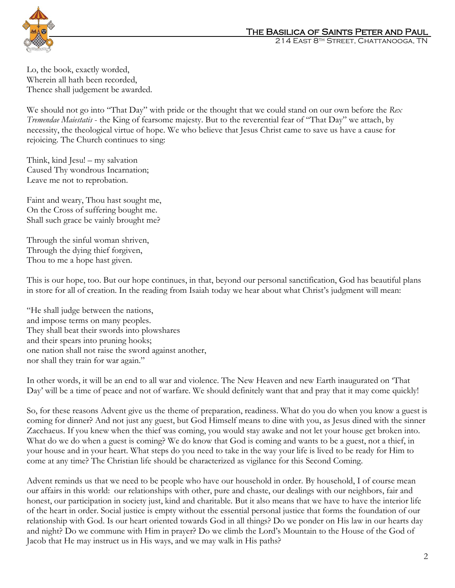

Lo, the book, exactly worded, Wherein all hath been recorded, Thence shall judgement be awarded.

We should not go into "That Day" with pride or the thought that we could stand on our own before the *Rex Tremendae Maiestatis* - the King of fearsome majesty. But to the reverential fear of "That Day" we attach, by necessity, the theological virtue of hope. We who believe that Jesus Christ came to save us have a cause for rejoicing. The Church continues to sing:

Think, kind Jesu! – my salvation Caused Thy wondrous Incarnation; Leave me not to reprobation.

Faint and weary, Thou hast sought me, On the Cross of suffering bought me. Shall such grace be vainly brought me?

Through the sinful woman shriven, Through the dying thief forgiven, Thou to me a hope hast given.

This is our hope, too. But our hope continues, in that, beyond our personal sanctification, God has beautiful plans in store for all of creation. In the reading from Isaiah today we hear about what Christ's judgment will mean:

"He shall judge between the nations, and impose terms on many peoples. They shall beat their swords into plowshares and their spears into pruning hooks; one nation shall not raise the sword against another, nor shall they train for war again."

In other words, it will be an end to all war and violence. The New Heaven and new Earth inaugurated on 'That Day' will be a time of peace and not of warfare. We should definitely want that and pray that it may come quickly!

So, for these reasons Advent give us the theme of preparation, readiness. What do you do when you know a guest is coming for dinner? And not just any guest, but God Himself means to dine with you, as Jesus dined with the sinner Zacchaeus. If you knew when the thief was coming, you would stay awake and not let your house get broken into. What do we do when a guest is coming? We do know that God is coming and wants to be a guest, not a thief, in your house and in your heart. What steps do you need to take in the way your life is lived to be ready for Him to come at any time? The Christian life should be characterized as vigilance for this Second Coming.

Advent reminds us that we need to be people who have our household in order. By household, I of course mean our affairs in this world: our relationships with other, pure and chaste, our dealings with our neighbors, fair and honest, our participation in society just, kind and charitable. But it also means that we have to have the interior life of the heart in order. Social justice is empty without the essential personal justice that forms the foundation of our relationship with God. Is our heart oriented towards God in all things? Do we ponder on His law in our hearts day and night? Do we commune with Him in prayer? Do we climb the Lord's Mountain to the House of the God of Jacob that He may instruct us in His ways, and we may walk in His paths?